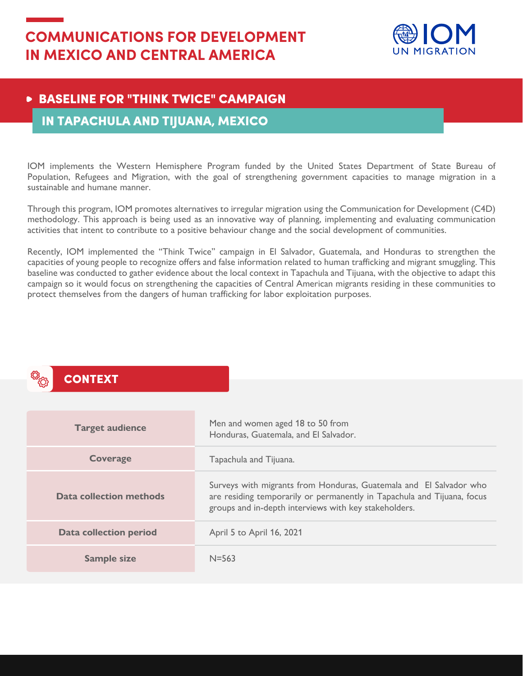

## **BASELINE FOR "THINK TWICE" CAMPAIGN**

### IN TAPACHULA AND TIJUANA, MEXICO

IOM implements the Western Hemisphere Program funded by the United States Department of State Bureau of Population, Refugees and Migration, with the goal of strengthening government capacities to manage migration in a sustainable and humane manner.

Through this program, IOM promotes alternatives to irregular migration using the Communication for Development (C4D) methodology. This approach is being used as an innovative way of planning, implementing and evaluating communication activities that intent to contribute to a positive behaviour change and the social development of communities.

Recently, IOM implemented the "Think Twice" campaign in El Salvador, Guatemala, and Honduras to strengthen the capacities of young people to recognize offers and false information related to human trafficking and migrant smuggling. This baseline was conducted to gather evidence about the local context in Tapachula and Tijuana, with the objective to adapt this campaign so it would focus on strengthening the capacities of Central American migrants residing in these communities to protect themselves from the dangers of human trafficking for labor exploitation purposes.

## **CONTEXT**

| <b>Target audience</b>  | Men and women aged 18 to 50 from<br>Honduras, Guatemala, and El Salvador.                                                                                                                              |
|-------------------------|--------------------------------------------------------------------------------------------------------------------------------------------------------------------------------------------------------|
| <b>Coverage</b>         | Tapachula and Tijuana.                                                                                                                                                                                 |
| Data collection methods | Surveys with migrants from Honduras, Guatemala and El Salvador who<br>are residing temporarily or permanently in Tapachula and Tijuana, focus<br>groups and in-depth interviews with key stakeholders. |
| Data collection period  | April 5 to April 16, 2021                                                                                                                                                                              |
| <b>Sample size</b>      | $N = 563$                                                                                                                                                                                              |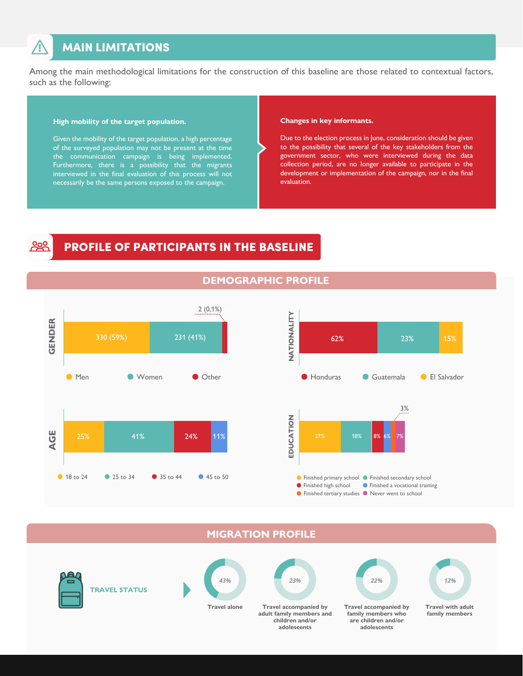## **MAIN LIMITATIONS**

Among the main methodological limitations for the construction of this baseline are those related to contextual factors, such as the following:

#### **High mobility of the target population.**

Given the mobility of the target population, a high percentage of the surveyed population may not be present at the time the communication campaign is being implemented. Furthermore, there is a possibility that the migrants interviewed in the final evaluation of this process will not necessarily be the same persons exposed to the campaign.

#### **Changes in key informants.**

Due to the election process in June, consideration should be given to the possibility that several of the key stakeholders from the government sector, who were interviewed during the data collection period, are no longer available to participate in the development or implementation of the campaign, nor in the final evaluation.

## PROFILE OF PARTICIPANTS IN THE BASELINE



#### **DEMOGRAPHIC PROFILE**



#### **MIGRATION PROFILE**



**TRAVEL STATUS**



**Travel alone** 



**adult family members and children and/or adolescents**



**Travel accompanied by family members who are children and/or adolescents**

**Travel with adult**  *12%*

**family members**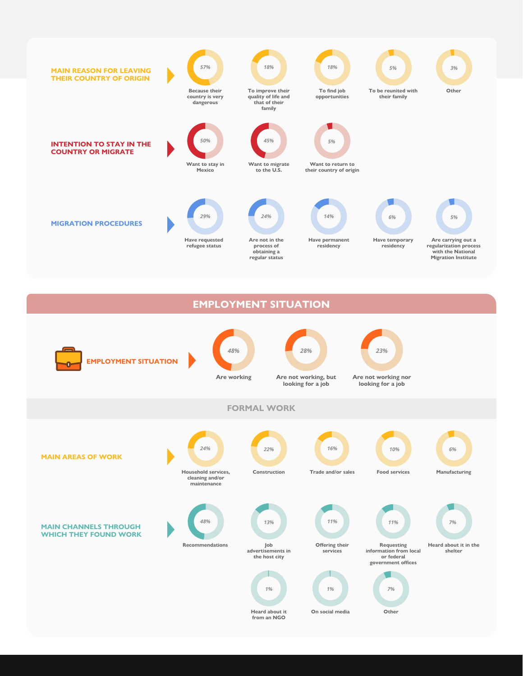

**EMPLOYMENT SITUATION**

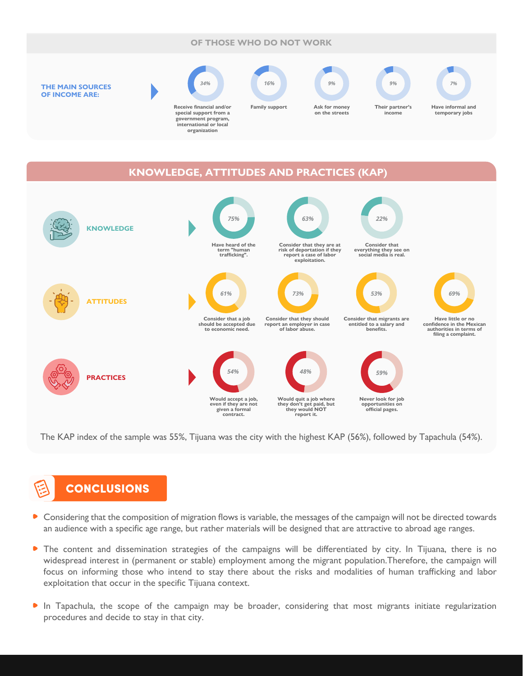#### **OF THOSE WHO DO NOT WORK**



#### **KNOWLEDGE, ATTITUDES AND PRACTICES (KAP)**



The KAP index of the sample was 55%, Tijuana was the city with the highest KAP (56%), followed by Tapachula (54%).

# CONCLUSIONS

- **Considering that the composition of migration flows is variable, the messages of the campaign will not be directed towards** an audience with a specific age range, but rather materials will be designed that are attractive to abroad age ranges.
- $\bullet$ The content and dissemination strategies of the campaigns will be differentiated by city. In Tijuana, there is no widespread interest in (permanent or stable) employment among the migrant population.Therefore, the campaign will focus on informing those who intend to stay there about the risks and modalities of human trafficking and labor exploitation that occur in the specific Tijuana context.
- In Tapachula, the scope of the campaign may be broader, considering that most migrants initiate regularization procedures and decide to stay in that city.